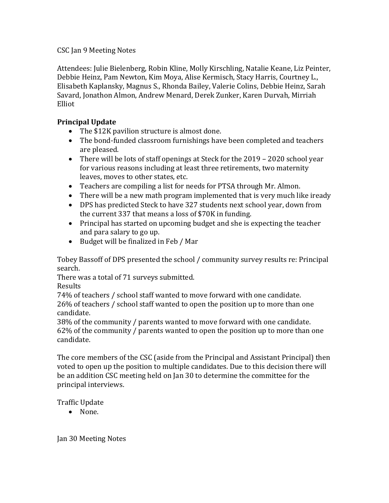## CSC Jan 9 Meeting Notes

Attendees: Julie Bielenberg, Robin Kline, Molly Kirschling, Natalie Keane, Liz Peinter, Debbie Heinz, Pam Newton, Kim Moya, Alise Kermisch, Stacy Harris, Courtney L., Elisabeth Kaplansky, Magnus S., Rhonda Bailey, Valerie Colins, Debbie Heinz, Sarah Savard, Jonathon Almon, Andrew Menard, Derek Zunker, Karen Durvah, Mirriah Elliot

## **Principal Update**

- The \$12K pavilion structure is almost done.
- The bond-funded classroom furnishings have been completed and teachers are pleased.
- There will be lots of staff openings at Steck for the 2019 2020 school year for various reasons including at least three retirements, two maternity leaves, moves to other states, etc.
- Teachers are compiling a list for needs for PTSA through Mr. Almon.
- There will be a new math program implemented that is very much like iready
- DPS has predicted Steck to have 327 students next school year, down from the current 337 that means a loss of \$70K in funding.
- Principal has started on upcoming budget and she is expecting the teacher and para salary to go up.
- Budget will be finalized in Feb / Mar

Tobey Bassoff of DPS presented the school / community survey results re: Principal search.

There was a total of 71 surveys submitted.

Results

74% of teachers / school staff wanted to move forward with one candidate. 26% of teachers / school staff wanted to open the position up to more than one candidate.

38% of the community / parents wanted to move forward with one candidate. 62% of the community / parents wanted to open the position up to more than one candidate.

The core members of the CSC (aside from the Principal and Assistant Principal) then voted to open up the position to multiple candidates. Due to this decision there will be an addition CSC meeting held on Jan 30 to determine the committee for the principal interviews.

Traffic Update

• None.

Jan 30 Meeting Notes